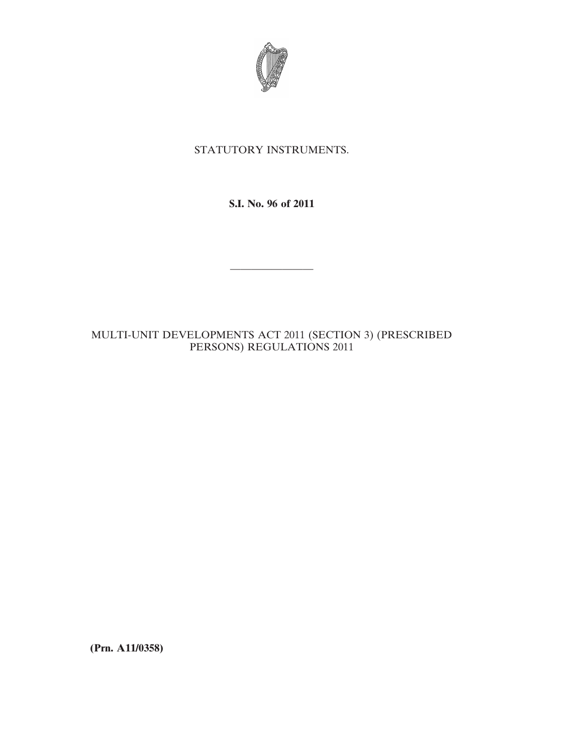

## STATUTORY INSTRUMENTS.

**S.I. No. 96 of 2011**

————————

## MULTI-UNIT DEVELOPMENTS ACT 2011 (SECTION 3) (PRESCRIBED PERSONS) REGULATIONS 2011

**(Prn. A11/0358)**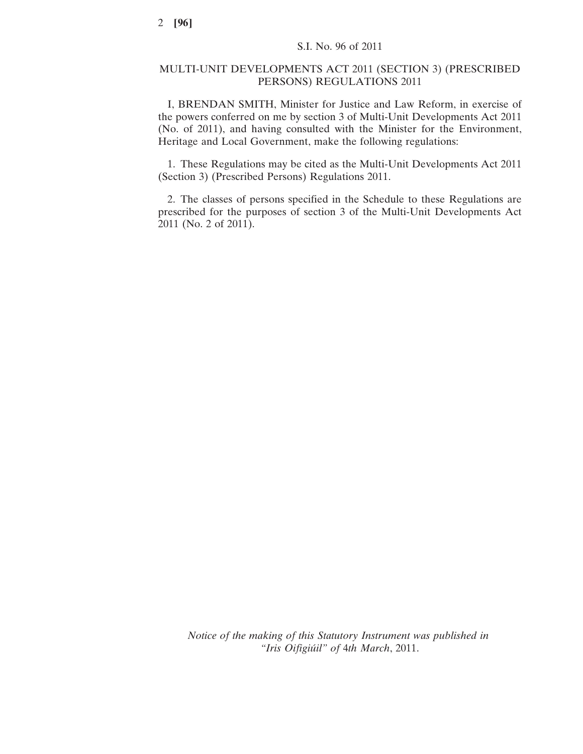## MULTI-UNIT DEVELOPMENTS ACT 2011 (SECTION 3) (PRESCRIBED PERSONS) REGULATIONS 2011

I, BRENDAN SMITH, Minister for Justice and Law Reform, in exercise of the powers conferred on me by section 3 of Multi-Unit Developments Act 2011 (No. of 2011), and having consulted with the Minister for the Environment, Heritage and Local Government, make the following regulations:

1. These Regulations may be cited as the Multi-Unit Developments Act 2011 (Section 3) (Prescribed Persons) Regulations 2011.

2. The classes of persons specified in the Schedule to these Regulations are prescribed for the purposes of section 3 of the Multi-Unit Developments Act 2011 (No. 2 of 2011).

*Notice of the making of this Statutory Instrument was published in "Iris Oifigiúil" of* 4*th March*, 2011.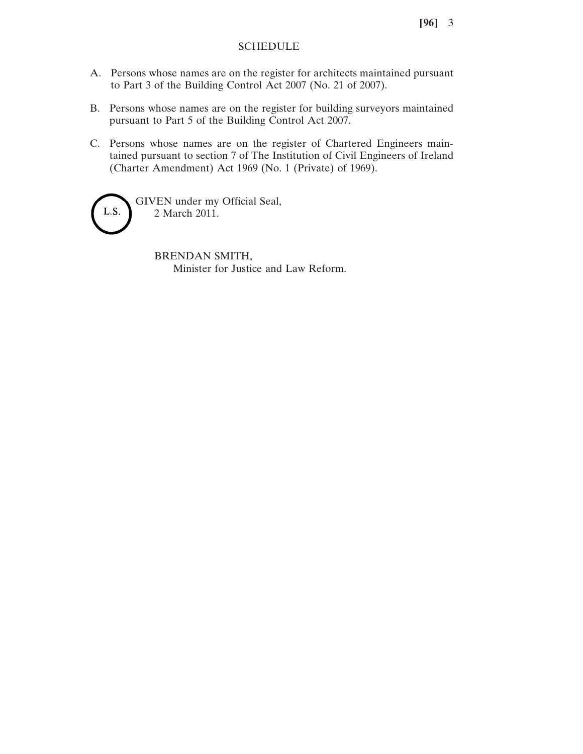**[96]** 3

## SCHEDULE

- A. Persons whose names are on the register for architects maintained pursuant to Part 3 of the Building Control Act 2007 (No. 21 of 2007).
- B. Persons whose names are on the register for building surveyors maintained pursuant to Part 5 of the Building Control Act 2007.
- C. Persons whose names are on the register of Chartered Engineers maintained pursuant to section 7 of The Institution of Civil Engineers of Ireland (Charter Amendment) Act 1969 (No. 1 (Private) of 1969).

GIVEN under my Official Seal, 2 March 2011.

L.S.

BRENDAN SMITH, Minister for Justice and Law Reform.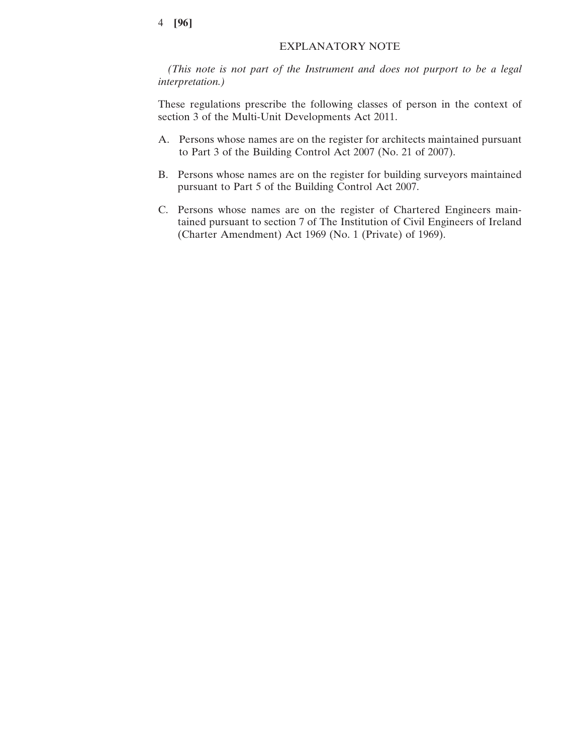*(This note is not part of the Instrument and does not purport to be a legal interpretation.)*

These regulations prescribe the following classes of person in the context of section 3 of the Multi-Unit Developments Act 2011.

- A. Persons whose names are on the register for architects maintained pursuant to Part 3 of the Building Control Act 2007 (No. 21 of 2007).
- B. Persons whose names are on the register for building surveyors maintained pursuant to Part 5 of the Building Control Act 2007.
- C. Persons whose names are on the register of Chartered Engineers maintained pursuant to section 7 of The Institution of Civil Engineers of Ireland (Charter Amendment) Act 1969 (No. 1 (Private) of 1969).